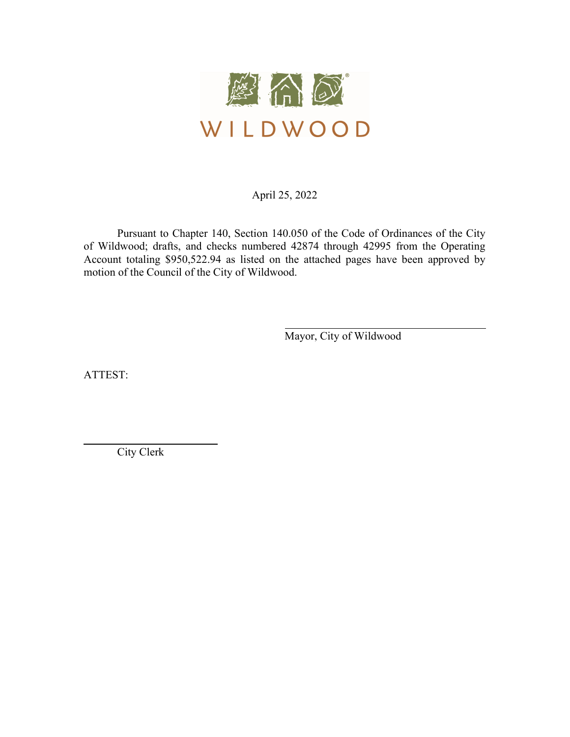

April 25, 2022

 Pursuant to Chapter 140, Section 140.050 of the Code of Ordinances of the City of Wildwood; drafts, and checks numbered 42874 through 42995 from the Operating Account totaling \$950,522.94 as listed on the attached pages have been approved by motion of the Council of the City of Wildwood.

Mayor, City of Wildwood

ATTEST:

l

City Clerk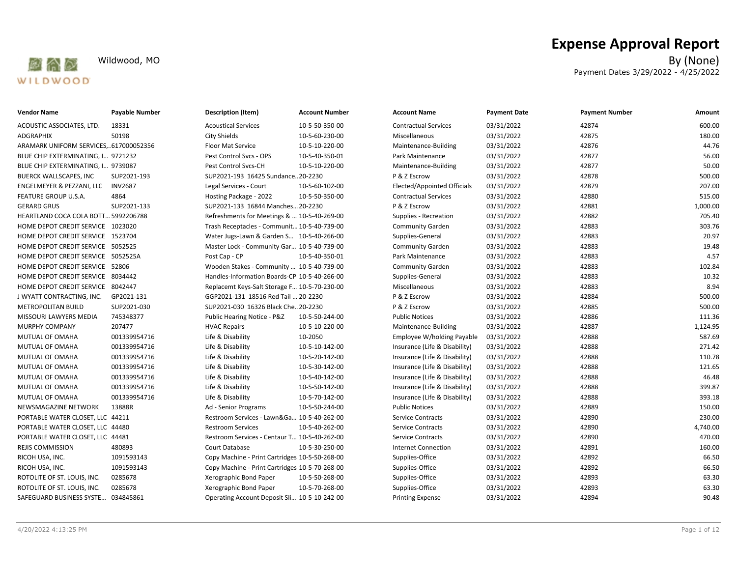

| <b>Vendor Name</b>                    | Payable Number | <b>Description (Item)</b>                      | <b>Account Number</b> | <b>Account Name</b>           | <b>Payment Date</b> | <b>Payment Number</b> | Amount   |
|---------------------------------------|----------------|------------------------------------------------|-----------------------|-------------------------------|---------------------|-----------------------|----------|
| ACOUSTIC ASSOCIATES, LTD.             | 18331          | <b>Acoustical Services</b>                     | 10-5-50-350-00        | <b>Contractual Services</b>   | 03/31/2022          | 42874                 | 600.00   |
| <b>ADGRAPHIX</b>                      | 50198          | <b>City Shields</b>                            | 10-5-60-230-00        | Miscellaneous                 | 03/31/2022          | 42875                 | 180.00   |
| ARAMARK UNIFORM SERVICES,617000052356 |                | <b>Floor Mat Service</b>                       | 10-5-10-220-00        | Maintenance-Building          | 03/31/2022          | 42876                 | 44.76    |
| BLUE CHIP EXTERMINATING, I 9721232    |                | Pest Control Svcs - OPS                        | 10-5-40-350-01        | Park Maintenance              | 03/31/2022          | 42877                 | 56.00    |
| BLUE CHIP EXTERMINATING, I 9739087    |                | Pest Control Svcs-CH                           | 10-5-10-220-00        | Maintenance-Building          | 03/31/2022          | 42877                 | 50.00    |
| BUERCK WALLSCAPES, INC                | SUP2021-193    | SUP2021-193 16425 Sundance 20-2230             |                       | P & Z Escrow                  | 03/31/2022          | 42878                 | 500.00   |
| ENGELMEYER & PEZZANI, LLC             | <b>INV2687</b> | Legal Services - Court                         | 10-5-60-102-00        | Elected/Appointed Officials   | 03/31/2022          | 42879                 | 207.00   |
| FEATURE GROUP U.S.A.                  | 4864           | Hosting Package - 2022                         | 10-5-50-350-00        | <b>Contractual Services</b>   | 03/31/2022          | 42880                 | 515.00   |
| <b>GERARD GRUS</b>                    | SUP2021-133    | SUP2021-133 16844 Manches 20-2230              |                       | P & Z Escrow                  | 03/31/2022          | 42881                 | 1,000.00 |
| HEARTLAND COCA COLA BOTT 5992206788   |                | Refreshments for Meetings &  10-5-40-269-00    |                       | Supplies - Recreation         | 03/31/2022          | 42882                 | 705.40   |
| HOME DEPOT CREDIT SERVICE 1023020     |                | Trash Receptacles - Communit 10-5-40-739-00    |                       | <b>Community Garden</b>       | 03/31/2022          | 42883                 | 303.76   |
| HOME DEPOT CREDIT SERVICE 1523704     |                | Water Jugs-Lawn & Garden S 10-5-40-266-00      |                       | Supplies-General              | 03/31/2022          | 42883                 | 20.97    |
| HOME DEPOT CREDIT SERVICE 5052525     |                | Master Lock - Community Gar 10-5-40-739-00     |                       | <b>Community Garden</b>       | 03/31/2022          | 42883                 | 19.48    |
| HOME DEPOT CREDIT SERVICE 5052525A    |                | Post Cap - CP                                  | 10-5-40-350-01        | Park Maintenance              | 03/31/2022          | 42883                 | 4.57     |
| HOME DEPOT CREDIT SERVICE 52806       |                | Wooden Stakes - Community  10-5-40-739-00      |                       | Community Garden              | 03/31/2022          | 42883                 | 102.84   |
| HOME DEPOT CREDIT SERVICE 8034442     |                | Handles-Information Boards-CP 10-5-40-266-00   |                       | Supplies-General              | 03/31/2022          | 42883                 | 10.32    |
| HOME DEPOT CREDIT SERVICE 8042447     |                | Replacemt Keys-Salt Storage F 10-5-70-230-00   |                       | Miscellaneous                 | 03/31/2022          | 42883                 | 8.94     |
| J WYATT CONTRACTING, INC.             | GP2021-131     | GGP2021-131 18516 Red Tail  20-2230            |                       | P & Z Escrow                  | 03/31/2022          | 42884                 | 500.00   |
| <b>METROPOLITAN BUILD</b>             | SUP2021-030    | SUP2021-030 16326 Black Che 20-2230            |                       | P & Z Escrow                  | 03/31/2022          | 42885                 | 500.00   |
| MISSOURI LAWYERS MEDIA                | 745348377      | Public Hearing Notice - P&Z                    | 10-5-50-244-00        | <b>Public Notices</b>         | 03/31/2022          | 42886                 | 111.36   |
| MURPHY COMPANY                        | 207477         | <b>HVAC Repairs</b>                            | 10-5-10-220-00        | Maintenance-Building          | 03/31/2022          | 42887                 | 1,124.95 |
| MUTUAL OF OMAHA                       | 001339954716   | Life & Disability                              | 10-2050               | Employee W/holding Payable    | 03/31/2022          | 42888                 | 587.69   |
| MUTUAL OF OMAHA                       | 001339954716   | Life & Disability                              | 10-5-10-142-00        | Insurance (Life & Disability) | 03/31/2022          | 42888                 | 271.42   |
| MUTUAL OF OMAHA                       | 001339954716   | Life & Disability                              | 10-5-20-142-00        | Insurance (Life & Disability) | 03/31/2022          | 42888                 | 110.78   |
| MUTUAL OF OMAHA                       | 001339954716   | Life & Disability                              | 10-5-30-142-00        | Insurance (Life & Disability) | 03/31/2022          | 42888                 | 121.65   |
| MUTUAL OF OMAHA                       | 001339954716   | Life & Disability                              | 10-5-40-142-00        | Insurance (Life & Disability) | 03/31/2022          | 42888                 | 46.48    |
| MUTUAL OF OMAHA                       | 001339954716   | Life & Disability                              | 10-5-50-142-00        | Insurance (Life & Disability) | 03/31/2022          | 42888                 | 399.87   |
| MUTUAL OF OMAHA                       | 001339954716   | Life & Disability                              | 10-5-70-142-00        | Insurance (Life & Disability) | 03/31/2022          | 42888                 | 393.18   |
| NEWSMAGAZINE NETWORK                  | 13888R         | Ad - Senior Programs                           | 10-5-50-244-00        | <b>Public Notices</b>         | 03/31/2022          | 42889                 | 150.00   |
| PORTABLE WATER CLOSET, LLC 44211      |                | Restroom Services - Lawn&Ga 10-5-40-262-00     |                       | <b>Service Contracts</b>      | 03/31/2022          | 42890                 | 230.00   |
| PORTABLE WATER CLOSET, LLC 44480      |                | <b>Restroom Services</b>                       | 10-5-40-262-00        | Service Contracts             | 03/31/2022          | 42890                 | 4,740.00 |
| PORTABLE WATER CLOSET, LLC 44481      |                | Restroom Services - Centaur T 10-5-40-262-00   |                       | <b>Service Contracts</b>      | 03/31/2022          | 42890                 | 470.00   |
| REJIS COMMISSION                      | 480893         | Court Database                                 | 10-5-30-250-00        | <b>Internet Connection</b>    | 03/31/2022          | 42891                 | 160.00   |
| RICOH USA, INC.                       | 1091593143     | Copy Machine - Print Cartridges 10-5-50-268-00 |                       | Supplies-Office               | 03/31/2022          | 42892                 | 66.50    |
| RICOH USA, INC.                       | 1091593143     | Copy Machine - Print Cartridges 10-5-70-268-00 |                       | Supplies-Office               | 03/31/2022          | 42892                 | 66.50    |
| ROTOLITE OF ST. LOUIS, INC.           | 0285678        | Xerographic Bond Paper                         | 10-5-50-268-00        | Supplies-Office               | 03/31/2022          | 42893                 | 63.30    |
| ROTOLITE OF ST. LOUIS, INC.           | 0285678        | Xerographic Bond Paper                         | 10-5-70-268-00        | Supplies-Office               | 03/31/2022          | 42893                 | 63.30    |
| SAFEGUARD BUSINESS SYSTE 034845861    |                | Operating Account Deposit Sli 10-5-10-242-00   |                       | <b>Printing Expense</b>       | 03/31/2022          | 42894                 | 90.48    |

# **Expense Approval Report**

Wildwood, MO By (None) Payment Dates 3/29/2022 - 4/25/2022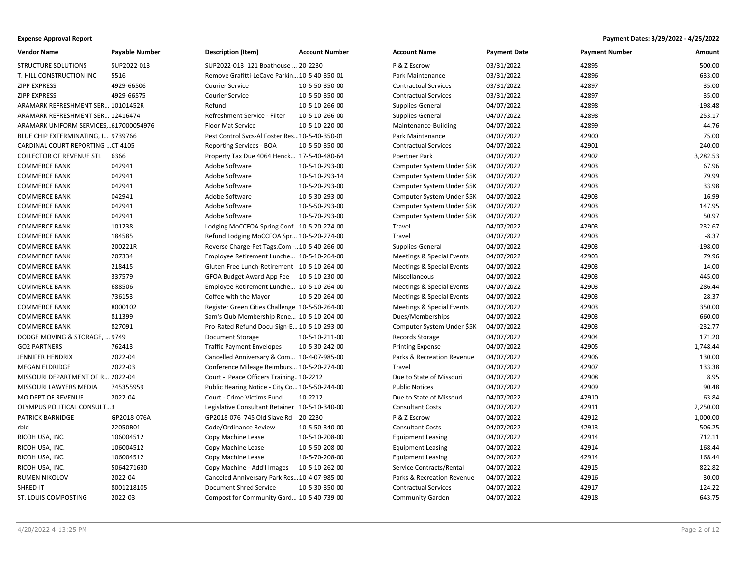| Vendor Name                           | <b>Payable Number</b> | <b>Description (Item)</b>                      | <b>Account Number</b> | <b>Account Name</b>                  | <b>Payment Date</b> | <b>Payment Number</b> | Amount    |
|---------------------------------------|-----------------------|------------------------------------------------|-----------------------|--------------------------------------|---------------------|-----------------------|-----------|
| <b>STRUCTURE SOLUTIONS</b>            | SUP2022-013           | SUP2022-013 121 Boathouse  20-2230             |                       | P & Z Escrow                         | 03/31/2022          | 42895                 | 500.00    |
| T. HILL CONSTRUCTION INC              | 5516                  | Remove Grafitti-LeCave Parkin 10-5-40-350-01   |                       | Park Maintenance                     | 03/31/2022          | 42896                 | 633.00    |
| <b>ZIPP EXPRESS</b>                   | 4929-66506            | <b>Courier Service</b>                         | 10-5-50-350-00        | <b>Contractual Services</b>          | 03/31/2022          | 42897                 | 35.00     |
| ZIPP EXPRESS                          | 4929-66575            | <b>Courier Service</b>                         | 10-5-50-350-00        | <b>Contractual Services</b>          | 03/31/2022          | 42897                 | 35.00     |
| ARAMARK REFRESHMENT SER 10101452R     |                       | Refund                                         | 10-5-10-266-00        | Supplies-General                     | 04/07/2022          | 42898                 | $-198.48$ |
| ARAMARK REFRESHMENT SER 12416474      |                       | Refreshment Service - Filter                   | 10-5-10-266-00        | Supplies-General                     | 04/07/2022          | 42898                 | 253.17    |
| ARAMARK UNIFORM SERVICES,617000054976 |                       | <b>Floor Mat Service</b>                       | 10-5-10-220-00        | Maintenance-Building                 | 04/07/2022          | 42899                 | 44.76     |
| BLUE CHIP EXTERMINATING, I 9739766    |                       | Pest Control Svcs-Al Foster Res10-5-40-350-01  |                       | Park Maintenance                     | 04/07/2022          | 42900                 | 75.00     |
| CARDINAL COURT REPORTING  CT 4105     |                       | Reporting Services - BOA                       | 10-5-50-350-00        | <b>Contractual Services</b>          | 04/07/2022          | 42901                 | 240.00    |
| <b>COLLECTOR OF REVENUE STL</b>       | 6366                  | Property Tax Due 4064 Henck 17-5-40-480-64     |                       | Poertner Park                        | 04/07/2022          | 42902                 | 3,282.53  |
| COMMERCE BANK                         | 042941                | Adobe Software                                 | 10-5-10-293-00        | Computer System Under \$5K           | 04/07/2022          | 42903                 | 67.96     |
| <b>COMMERCE BANK</b>                  | 042941                | Adobe Software                                 | 10-5-10-293-14        | Computer System Under \$5K           | 04/07/2022          | 42903                 | 79.99     |
| <b>COMMERCE BANK</b>                  | 042941                | Adobe Software                                 | 10-5-20-293-00        | Computer System Under \$5K           | 04/07/2022          | 42903                 | 33.98     |
| <b>COMMERCE BANK</b>                  | 042941                | Adobe Software                                 | 10-5-30-293-00        | Computer System Under \$5K           | 04/07/2022          | 42903                 | 16.99     |
| <b>COMMERCE BANK</b>                  | 042941                | Adobe Software                                 | 10-5-50-293-00        | Computer System Under \$5K           | 04/07/2022          | 42903                 | 147.95    |
| <b>COMMERCE BANK</b>                  | 042941                | Adobe Software                                 | 10-5-70-293-00        | Computer System Under \$5K           | 04/07/2022          | 42903                 | 50.97     |
| <b>COMMERCE BANK</b>                  | 101238                | Lodging MoCCFOA Spring Conf 10-5-20-274-00     |                       | Travel                               | 04/07/2022          | 42903                 | 232.67    |
| COMMERCE BANK                         | 184585                | Refund Lodging MoCCFOA Spr 10-5-20-274-00      |                       | Travel                               | 04/07/2022          | 42903                 | $-8.37$   |
| <b>COMMERCE BANK</b>                  | 200221R               | Reverse Charge-Pet Tags.Com - 10-5-40-266-00   |                       | Supplies-General                     | 04/07/2022          | 42903                 | $-198.00$ |
| <b>COMMERCE BANK</b>                  | 207334                | Employee Retirement Lunche 10-5-10-264-00      |                       | Meetings & Special Events            | 04/07/2022          | 42903                 | 79.96     |
| <b>COMMERCE BANK</b>                  | 218415                | Gluten-Free Lunch-Retirement 10-5-10-264-00    |                       | <b>Meetings &amp; Special Events</b> | 04/07/2022          | 42903                 | 14.00     |
| <b>COMMERCE BANK</b>                  | 337579                | GFOA Budget Award App Fee 10-5-10-230-00       |                       | Miscellaneous                        | 04/07/2022          | 42903                 | 445.00    |
| <b>COMMERCE BANK</b>                  | 688506                | Employee Retirement Lunche 10-5-10-264-00      |                       | <b>Meetings &amp; Special Events</b> | 04/07/2022          | 42903                 | 286.44    |
| <b>COMMERCE BANK</b>                  | 736153                | Coffee with the Mayor                          | 10-5-20-264-00        | <b>Meetings &amp; Special Events</b> | 04/07/2022          | 42903                 | 28.37     |
| COMMERCE BANK                         | 8000102               | Register Green Cities Challenge 10-5-50-264-00 |                       | Meetings & Special Events            | 04/07/2022          | 42903                 | 350.00    |
| <b>COMMERCE BANK</b>                  | 811399                | Sam's Club Membership Rene 10-5-10-204-00      |                       | Dues/Memberships                     | 04/07/2022          | 42903                 | 660.00    |
| <b>COMMERCE BANK</b>                  | 827091                | Pro-Rated Refund Docu-Sign-E 10-5-10-293-00    |                       | Computer System Under \$5K           | 04/07/2022          | 42903                 | $-232.77$ |
| DODGE MOVING & STORAGE,  9749         |                       | Document Storage                               | 10-5-10-211-00        | Records Storage                      | 04/07/2022          | 42904                 | 171.20    |
| <b>GO2 PARTNERS</b>                   | 762413                | <b>Traffic Payment Envelopes</b>               | 10-5-30-242-00        | <b>Printing Expense</b>              | 04/07/2022          | 42905                 | 1,748.44  |
| JENNIFER HENDRIX                      | 2022-04               | Cancelled Anniversary & Com 10-4-07-985-00     |                       | Parks & Recreation Revenue           | 04/07/2022          | 42906                 | 130.00    |
| MEGAN ELDRIDGE                        | 2022-03               | Conference Mileage Reimburs 10-5-20-274-00     |                       | Travel                               | 04/07/2022          | 42907                 | 133.38    |
| MISSOURI DEPARTMENT OF R 2022-04      |                       | Court - Peace Officers Training10-2212         |                       | Due to State of Missouri             | 04/07/2022          | 42908                 | 8.95      |
| MISSOURI LAWYERS MEDIA                | 745355959             | Public Hearing Notice - City Co 10-5-50-244-00 |                       | <b>Public Notices</b>                | 04/07/2022          | 42909                 | 90.48     |
| MO DEPT OF REVENUE                    | 2022-04               | Court - Crime Victims Fund                     | 10-2212               | Due to State of Missouri             | 04/07/2022          | 42910                 | 63.84     |
| OLYMPUS POLITICAL CONSULT3            |                       | Legislative Consultant Retainer 10-5-10-340-00 |                       | <b>Consultant Costs</b>              | 04/07/2022          | 42911                 | 2,250.00  |
| PATRICK BARNIDGE                      | GP2018-076A           | GP2018-076 745 Old Slave Rd                    | 20-2230               | P & Z Escrow                         | 04/07/2022          | 42912                 | 1,000.00  |
| rbld                                  | 22050B01              | Code/Ordinance Review                          | 10-5-50-340-00        | <b>Consultant Costs</b>              | 04/07/2022          | 42913                 | 506.25    |
| RICOH USA, INC.                       | 106004512             | Copy Machine Lease                             | 10-5-10-208-00        | <b>Equipment Leasing</b>             | 04/07/2022          | 42914                 | 712.11    |
| RICOH USA, INC.                       | 106004512             | Copy Machine Lease                             | 10-5-50-208-00        | <b>Equipment Leasing</b>             | 04/07/2022          | 42914                 | 168.44    |
| RICOH USA, INC.                       | 106004512             | Copy Machine Lease                             | 10-5-70-208-00        | <b>Equipment Leasing</b>             | 04/07/2022          | 42914                 | 168.44    |
| RICOH USA, INC.                       | 5064271630            | Copy Machine - Add'l Images                    | 10-5-10-262-00        | Service Contracts/Rental             | 04/07/2022          | 42915                 | 822.82    |
| <b>RUMEN NIKOLOV</b>                  | 2022-04               | Canceled Anniversary Park Res 10-4-07-985-00   |                       | Parks & Recreation Revenue           | 04/07/2022          | 42916                 | 30.00     |
| SHRED-IT                              | 8001218105            | Document Shred Service                         | 10-5-30-350-00        | <b>Contractual Services</b>          | 04/07/2022          | 42917                 | 124.22    |
| ST. LOUIS COMPOSTING                  | 2022-03               | Compost for Community Gard 10-5-40-739-00      |                       | <b>Community Garden</b>              | 04/07/2022          | 42918                 | 643.75    |
|                                       |                       |                                                |                       |                                      |                     |                       |           |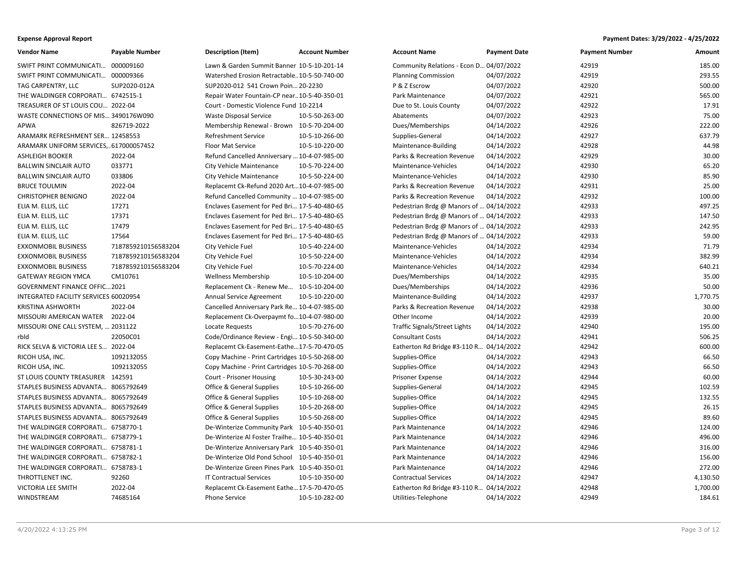| <b>Vendor Name</b>                    | <b>Payable Number</b> | Description (Item)                             | <b>Account Number</b> | <b>Account Name</b>                     | <b>Payment Date</b> | <b>Payment Number</b> | Amount   |
|---------------------------------------|-----------------------|------------------------------------------------|-----------------------|-----------------------------------------|---------------------|-----------------------|----------|
| SWIFT PRINT COMMUNICATI 000009160     |                       | Lawn & Garden Summit Banner 10-5-10-201-14     |                       | Community Relations - Econ D 04/07/2022 |                     | 42919                 | 185.00   |
| SWIFT PRINT COMMUNICATI 000009366     |                       | Watershed Erosion Retractable10-5-50-740-00    |                       | <b>Planning Commission</b>              | 04/07/2022          | 42919                 | 293.55   |
| TAG CARPENTRY, LLC                    | SUP2020-012A          | SUP2020-012 541 Crown Poin 20-2230             |                       | P & Z Escrow                            | 04/07/2022          | 42920                 | 500.00   |
| THE WALDINGER CORPORATI 6742515-1     |                       | Repair Water Fountain-CP near10-5-40-350-01    |                       | Park Maintenance                        | 04/07/2022          | 42921                 | 565.00   |
| TREASURER OF ST LOUIS COU 2022-04     |                       | Court - Domestic Violence Fund 10-2214         |                       | Due to St. Louis County                 | 04/07/2022          | 42922                 | 17.91    |
| WASTE CONNECTIONS OF MIS 3490176W090  |                       | Waste Disposal Service                         | 10-5-50-263-00        | Abatements                              | 04/07/2022          | 42923                 | 75.00    |
| APWA                                  | 826719-2022           | Membership Renewal - Brown 10-5-70-204-00      |                       | Dues/Memberships                        | 04/14/2022          | 42926                 | 222.00   |
| ARAMARK REFRESHMENT SER 12458553      |                       | Refreshment Service                            | 10-5-10-266-00        | Supplies-General                        | 04/14/2022          | 42927                 | 637.79   |
| ARAMARK UNIFORM SERVICES,617000057452 |                       | <b>Floor Mat Service</b>                       | 10-5-10-220-00        | Maintenance-Building                    | 04/14/2022          | 42928                 | 44.98    |
| ASHLEIGH BOOKER                       | 2022-04               | Refund Cancelled Anniversary  10-4-07-985-00   |                       | Parks & Recreation Revenue              | 04/14/2022          | 42929                 | 30.00    |
| <b>BALLWIN SINCLAIR AUTO</b>          | 033771                | City Vehicle Maintenance                       | 10-5-70-224-00        | Maintenance-Vehicles                    | 04/14/2022          | 42930                 | 65.20    |
| BALLWIN SINCLAIR AUTO                 | 033806                | City Vehicle Maintenance                       | 10-5-50-224-00        | Maintenance-Vehicles                    | 04/14/2022          | 42930                 | 85.90    |
| <b>BRUCE TOULMIN</b>                  | 2022-04               | Replacemt Ck-Refund 2020 Art10-4-07-985-00     |                       | Parks & Recreation Revenue              | 04/14/2022          | 42931                 | 25.00    |
| CHRISTOPHER BENIGNO                   | 2022-04               | Refund Cancelled Community  10-4-07-985-00     |                       | Parks & Recreation Revenue              | 04/14/2022          | 42932                 | 100.00   |
| ELIA M. ELLIS, LLC                    | 17271                 | Enclaves Easement for Ped Bri 17-5-40-480-65   |                       | Pedestrian Brdg @ Manors of  04/14/2022 |                     | 42933                 | 497.25   |
| ELIA M. ELLIS, LLC                    | 17371                 | Enclaves Easement for Ped Bri 17-5-40-480-65   |                       | Pedestrian Brdg @ Manors of  04/14/2022 |                     | 42933                 | 147.50   |
| ELIA M. ELLIS, LLC                    | 17479                 | Enclaves Easement for Ped Bri 17-5-40-480-65   |                       | Pedestrian Brdg @ Manors of  04/14/2022 |                     | 42933                 | 242.95   |
| ELIA M. ELLIS, LLC                    | 17564                 | Enclaves Easement for Ped Bri 17-5-40-480-65   |                       | Pedestrian Brdg @ Manors of  04/14/2022 |                     | 42933                 | 59.00    |
| EXXONMOBIL BUSINESS                   | 7187859210156583204   | City Vehicle Fuel                              | 10-5-40-224-00        | Maintenance-Vehicles                    | 04/14/2022          | 42934                 | 71.79    |
| EXXONMOBIL BUSINESS                   | 7187859210156583204   | City Vehicle Fuel                              | 10-5-50-224-00        | Maintenance-Vehicles                    | 04/14/2022          | 42934                 | 382.99   |
| EXXONMOBIL BUSINESS                   | 7187859210156583204   | City Vehicle Fuel                              | 10-5-70-224-00        | Maintenance-Vehicles                    | 04/14/2022          | 42934                 | 640.21   |
| <b>GATEWAY REGION YMCA</b>            | CM10761               | <b>Wellness Membership</b>                     | 10-5-10-204-00        | Dues/Memberships                        | 04/14/2022          | 42935                 | 35.00    |
| GOVERNMENT FINANCE OFFIC 2021         |                       | Replacement Ck - Renew Me                      | 10-5-10-204-00        | Dues/Memberships                        | 04/14/2022          | 42936                 | 50.00    |
| INTEGRATED FACILITY SERVICES 60020954 |                       | Annual Service Agreement                       | 10-5-10-220-00        | Maintenance-Building                    | 04/14/2022          | 42937                 | 1,770.75 |
| <b>KRISTINA ASHWORTH</b>              | 2022-04               | Cancelled Anniversary Park Re 10-4-07-985-00   |                       | Parks & Recreation Revenue              | 04/14/2022          | 42938                 | 30.00    |
| MISSOURI AMERICAN WATER               | 2022-04               | Replacement Ck-Overpaymt fo10-4-07-980-00      |                       | Other Income                            | 04/14/2022          | 42939                 | 20.00    |
| MISSOURI ONE CALL SYSTEM,  2031122    |                       | Locate Requests                                | 10-5-70-276-00        | Traffic Signals/Street Lights           | 04/14/2022          | 42940                 | 195.00   |
| rbld                                  | 22050C01              | Code/Ordinance Review - Engi 10-5-50-340-00    |                       | <b>Consultant Costs</b>                 | 04/14/2022          | 42941                 | 506.25   |
| RICK SELVA & VICTORIA LEE S 2022-04   |                       | Replacemt Ck-Easement-Eathe17-5-70-470-05      |                       | Eatherton Rd Bridge #3-110 R 04/14/2022 |                     | 42942                 | 600.00   |
| RICOH USA, INC.                       | 1092132055            | Copy Machine - Print Cartridges 10-5-50-268-00 |                       | Supplies-Office                         | 04/14/2022          | 42943                 | 66.50    |
| RICOH USA, INC.                       | 1092132055            | Copy Machine - Print Cartridges 10-5-70-268-00 |                       | Supplies-Office                         | 04/14/2022          | 42943                 | 66.50    |
| ST LOUIS COUNTY TREASURER 142591      |                       | Court - Prisoner Housing                       | 10-5-30-243-00        | Prisoner Expense                        | 04/14/2022          | 42944                 | 60.00    |
| STAPLES BUSINESS ADVANTA 8065792649   |                       | <b>Office &amp; General Supplies</b>           | 10-5-10-266-00        | Supplies-General                        | 04/14/2022          | 42945                 | 102.59   |
| STAPLES BUSINESS ADVANTA 8065792649   |                       | <b>Office &amp; General Supplies</b>           | 10-5-10-268-00        | Supplies-Office                         | 04/14/2022          | 42945                 | 132.55   |
| STAPLES BUSINESS ADVANTA 8065792649   |                       | Office & General Supplies                      | 10-5-20-268-00        | Supplies-Office                         | 04/14/2022          | 42945                 | 26.15    |
| STAPLES BUSINESS ADVANTA 8065792649   |                       | <b>Office &amp; General Supplies</b>           | 10-5-50-268-00        | Supplies-Office                         | 04/14/2022          | 42945                 | 89.60    |
| THE WALDINGER CORPORATI 6758770-1     |                       | De-Winterize Community Park 10-5-40-350-01     |                       | Park Maintenance                        | 04/14/2022          | 42946                 | 124.00   |
| THE WALDINGER CORPORATI 6758779-1     |                       | De-Winterize Al Foster Trailhe 10-5-40-350-01  |                       | Park Maintenance                        | 04/14/2022          | 42946                 | 496.00   |
| THE WALDINGER CORPORATI 6758781-1     |                       | De-Winterize Anniversary Park 10-5-40-350-01   |                       | Park Maintenance                        | 04/14/2022          | 42946                 | 316.00   |
| THE WALDINGER CORPORATI 6758782-1     |                       | De-Winterize Old Pond School 10-5-40-350-01    |                       | Park Maintenance                        | 04/14/2022          | 42946                 | 156.00   |
| THE WALDINGER CORPORATI 6758783-1     |                       | De-Winterize Green Pines Park 10-5-40-350-01   |                       | Park Maintenance                        | 04/14/2022          | 42946                 | 272.00   |
| THROTTLENET INC.                      | 92260                 | <b>IT Contractual Services</b>                 | 10-5-10-350-00        | <b>Contractual Services</b>             | 04/14/2022          | 42947                 | 4,130.50 |
| VICTORIA LEE SMITH                    | 2022-04               | Replacemt Ck-Easement Eathe 17-5-70-470-05     |                       | Eatherton Rd Bridge #3-110 R 04/14/2022 |                     | 42948                 | 1,700.00 |
| WINDSTREAM                            | 74685164              | <b>Phone Service</b>                           | 10-5-10-282-00        | Utilities-Telephone                     | 04/14/2022          | 42949                 | 184.61   |
|                                       |                       |                                                |                       |                                         |                     |                       |          |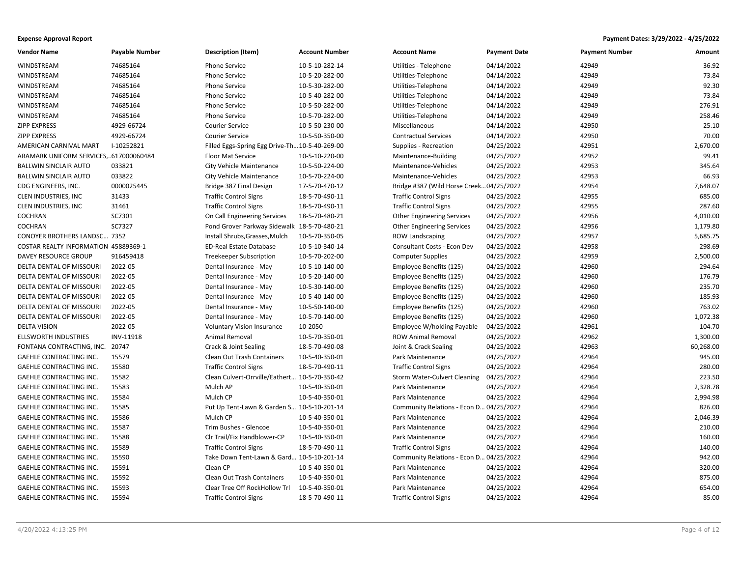| Vendor Name                           | <b>Payable Number</b> | <b>Description (Item)</b>                      | <b>Account Number</b> | <b>Account Name</b>                      | <b>Payment Date</b> | <b>Payment Number</b> | Amount    |
|---------------------------------------|-----------------------|------------------------------------------------|-----------------------|------------------------------------------|---------------------|-----------------------|-----------|
| WINDSTREAM                            | 74685164              | <b>Phone Service</b>                           | 10-5-10-282-14        | Utilities - Telephone                    | 04/14/2022          | 42949                 | 36.92     |
| WINDSTREAM                            | 74685164              | <b>Phone Service</b>                           | 10-5-20-282-00        | Utilities-Telephone                      | 04/14/2022          | 42949                 | 73.84     |
| WINDSTREAM                            | 74685164              | <b>Phone Service</b>                           | 10-5-30-282-00        | Utilities-Telephone                      | 04/14/2022          | 42949                 | 92.30     |
| WINDSTREAM                            | 74685164              | Phone Service                                  | 10-5-40-282-00        | Utilities-Telephone                      | 04/14/2022          | 42949                 | 73.84     |
| WINDSTREAM                            | 74685164              | <b>Phone Service</b>                           | 10-5-50-282-00        | Utilities-Telephone                      | 04/14/2022          | 42949                 | 276.91    |
| WINDSTREAM                            | 74685164              | <b>Phone Service</b>                           | 10-5-70-282-00        | Utilities-Telephone                      | 04/14/2022          | 42949                 | 258.46    |
| <b>ZIPP EXPRESS</b>                   | 4929-66724            | <b>Courier Service</b>                         | 10-5-50-230-00        | Miscellaneous                            | 04/14/2022          | 42950                 | 25.10     |
| <b>ZIPP EXPRESS</b>                   | 4929-66724            | <b>Courier Service</b>                         | 10-5-50-350-00        | <b>Contractual Services</b>              | 04/14/2022          | 42950                 | 70.00     |
| AMERICAN CARNIVAL MART                | I-10252821            | Filled Eggs-Spring Egg Drive-Th 10-5-40-269-00 |                       | Supplies - Recreation                    | 04/25/2022          | 42951                 | 2,670.00  |
| ARAMARK UNIFORM SERVICES,617000060484 |                       | Floor Mat Service                              | 10-5-10-220-00        | Maintenance-Building                     | 04/25/2022          | 42952                 | 99.41     |
| <b>BALLWIN SINCLAIR AUTO</b>          | 033821                | City Vehicle Maintenance                       | 10-5-50-224-00        | Maintenance-Vehicles                     | 04/25/2022          | 42953                 | 345.64    |
| <b>BALLWIN SINCLAIR AUTO</b>          | 033822                | City Vehicle Maintenance                       | 10-5-70-224-00        | Maintenance-Vehicles                     | 04/25/2022          | 42953                 | 66.93     |
| CDG ENGINEERS, INC.                   | 0000025445            | Bridge 387 Final Design                        | 17-5-70-470-12        | Bridge #387 (Wild Horse Creek 04/25/2022 |                     | 42954                 | 7,648.07  |
| CLEN INDUSTRIES, INC                  | 31433                 | <b>Traffic Control Signs</b>                   | 18-5-70-490-11        | <b>Traffic Control Signs</b>             | 04/25/2022          | 42955                 | 685.00    |
| CLEN INDUSTRIES, INC                  | 31461                 | <b>Traffic Control Signs</b>                   | 18-5-70-490-11        | <b>Traffic Control Signs</b>             | 04/25/2022          | 42955                 | 287.60    |
| COCHRAN                               | SC7301                | On Call Engineering Services                   | 18-5-70-480-21        | <b>Other Engineering Services</b>        | 04/25/2022          | 42956                 | 4,010.00  |
| <b>COCHRAN</b>                        | SC7327                | Pond Grover Parkway Sidewalk 18-5-70-480-21    |                       | <b>Other Engineering Services</b>        | 04/25/2022          | 42956                 | 1,179.80  |
| CONOYER BROTHERS LANDSC 7352          |                       | Install Shrubs, Grasses, Mulch                 | 10-5-70-350-05        | <b>ROW Landscaping</b>                   | 04/25/2022          | 42957                 | 5,685.75  |
| COSTAR REALTY INFORMATION 45889369-1  |                       | ED-Real Estate Database                        | 10-5-10-340-14        | Consultant Costs - Econ Dev              | 04/25/2022          | 42958                 | 298.69    |
| DAVEY RESOURCE GROUP                  | 916459418             | <b>Treekeeper Subscription</b>                 | 10-5-70-202-00        | <b>Computer Supplies</b>                 | 04/25/2022          | 42959                 | 2,500.00  |
| DELTA DENTAL OF MISSOURI              | 2022-05               | Dental Insurance - May                         | 10-5-10-140-00        | Employee Benefits (125)                  | 04/25/2022          | 42960                 | 294.64    |
| DELTA DENTAL OF MISSOURI              | 2022-05               | Dental Insurance - May                         | 10-5-20-140-00        | Employee Benefits (125)                  | 04/25/2022          | 42960                 | 176.79    |
| DELTA DENTAL OF MISSOURI              | 2022-05               | Dental Insurance - May                         | 10-5-30-140-00        | Employee Benefits (125)                  | 04/25/2022          | 42960                 | 235.70    |
| DELTA DENTAL OF MISSOURI              | 2022-05               | Dental Insurance - May                         | 10-5-40-140-00        | Employee Benefits (125)                  | 04/25/2022          | 42960                 | 185.93    |
| <b>DELTA DENTAL OF MISSOURI</b>       | 2022-05               | Dental Insurance - May                         | 10-5-50-140-00        | Employee Benefits (125)                  | 04/25/2022          | 42960                 | 763.02    |
| DELTA DENTAL OF MISSOURI              | 2022-05               | Dental Insurance - May                         | 10-5-70-140-00        | Employee Benefits (125)                  | 04/25/2022          | 42960                 | 1,072.38  |
| <b>DELTA VISION</b>                   | 2022-05               | <b>Voluntary Vision Insurance</b>              | 10-2050               | Employee W/holding Payable               | 04/25/2022          | 42961                 | 104.70    |
| <b>ELLSWORTH INDUSTRIES</b>           | INV-11918             | Animal Removal                                 | 10-5-70-350-01        | <b>ROW Animal Removal</b>                | 04/25/2022          | 42962                 | 1,300.00  |
| FONTANA CONTRACTING, INC. 20747       |                       | Crack & Joint Sealing                          | 18-5-70-490-08        | Joint & Crack Sealing                    | 04/25/2022          | 42963                 | 60,268.00 |
| GAEHLE CONTRACTING INC.               | 15579                 | Clean Out Trash Containers                     | 10-5-40-350-01        | Park Maintenance                         | 04/25/2022          | 42964                 | 945.00    |
| GAEHLE CONTRACTING INC.               | 15580                 | <b>Traffic Control Signs</b>                   | 18-5-70-490-11        | <b>Traffic Control Signs</b>             | 04/25/2022          | 42964                 | 280.00    |
| GAEHLE CONTRACTING INC.               | 15582                 | Clean Culvert-Orrville/Eathert 10-5-70-350-42  |                       | Storm Water-Culvert Cleaning             | 04/25/2022          | 42964                 | 223.50    |
| <b>GAEHLE CONTRACTING INC.</b>        | 15583                 | Mulch AP                                       | 10-5-40-350-01        | Park Maintenance                         | 04/25/2022          | 42964                 | 2,328.78  |
| GAEHLE CONTRACTING INC.               | 15584                 | Mulch CP                                       | 10-5-40-350-01        | Park Maintenance                         | 04/25/2022          | 42964                 | 2,994.98  |
| GAEHLE CONTRACTING INC.               | 15585                 | Put Up Tent-Lawn & Garden S 10-5-10-201-14     |                       | Community Relations - Econ D 04/25/2022  |                     | 42964                 | 826.00    |
| <b>GAEHLE CONTRACTING INC.</b>        | 15586                 | Mulch CP                                       | 10-5-40-350-01        | Park Maintenance                         | 04/25/2022          | 42964                 | 2,046.39  |
| <b>GAEHLE CONTRACTING INC.</b>        | 15587                 | Trim Bushes - Glencoe                          | 10-5-40-350-01        | Park Maintenance                         | 04/25/2022          | 42964                 | 210.00    |
| GAEHLE CONTRACTING INC.               | 15588                 | Clr Trail/Fix Handblower-CP                    | 10-5-40-350-01        | Park Maintenance                         | 04/25/2022          | 42964                 | 160.00    |
| GAEHLE CONTRACTING INC.               | 15589                 | <b>Traffic Control Signs</b>                   | 18-5-70-490-11        | <b>Traffic Control Signs</b>             | 04/25/2022          | 42964                 | 140.00    |
| <b>GAEHLE CONTRACTING INC.</b>        | 15590                 | Take Down Tent-Lawn & Gard 10-5-10-201-14      |                       | Community Relations - Econ D 04/25/2022  |                     | 42964                 | 942.00    |
| GAEHLE CONTRACTING INC.               | 15591                 | Clean CP                                       | 10-5-40-350-01        | Park Maintenance                         | 04/25/2022          | 42964                 | 320.00    |
| GAEHLE CONTRACTING INC.               | 15592                 | Clean Out Trash Containers                     | 10-5-40-350-01        | Park Maintenance                         | 04/25/2022          | 42964                 | 875.00    |
| <b>GAEHLE CONTRACTING INC.</b>        | 15593                 | Clear Tree Off RockHollow Trl                  | 10-5-40-350-01        | Park Maintenance                         | 04/25/2022          | 42964                 | 654.00    |
| GAEHLE CONTRACTING INC.               | 15594                 | <b>Traffic Control Signs</b>                   | 18-5-70-490-11        | <b>Traffic Control Signs</b>             | 04/25/2022          | 42964                 | 85.00     |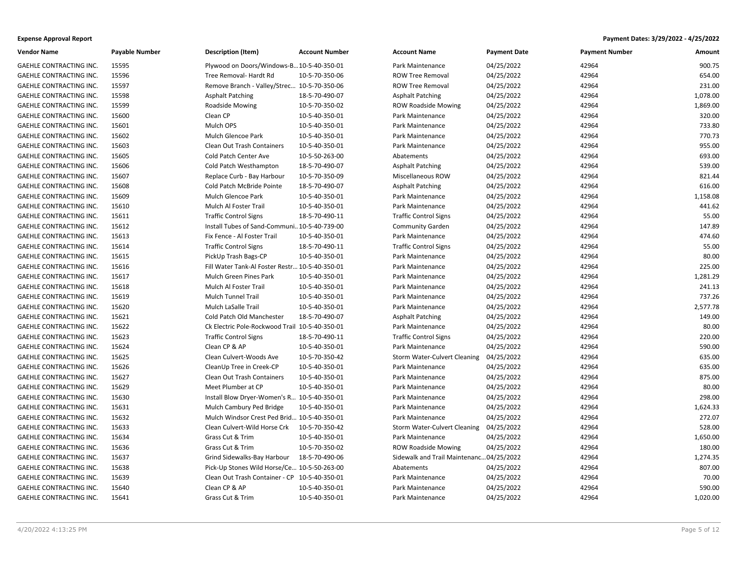| <b>Vendor Name</b>             | <b>Payable Number</b> | <b>Description (Item)</b>                      | <b>Account Number</b> | <b>Account Name</b>                      | <b>Payment Date</b> | <b>Payment Number</b> | Amount   |
|--------------------------------|-----------------------|------------------------------------------------|-----------------------|------------------------------------------|---------------------|-----------------------|----------|
| GAEHLE CONTRACTING INC.        | 15595                 | Plywood on Doors/Windows-B10-5-40-350-01       |                       | Park Maintenance                         | 04/25/2022          | 42964                 | 900.75   |
| GAEHLE CONTRACTING INC.        | 15596                 | Tree Removal- Hardt Rd                         | 10-5-70-350-06        | <b>ROW Tree Removal</b>                  | 04/25/2022          | 42964                 | 654.00   |
| GAEHLE CONTRACTING INC.        | 15597                 | Remove Branch - Valley/Strec 10-5-70-350-06    |                       | <b>ROW Tree Removal</b>                  | 04/25/2022          | 42964                 | 231.00   |
| GAEHLE CONTRACTING INC.        | 15598                 | <b>Asphalt Patching</b>                        | 18-5-70-490-07        | Asphalt Patching                         | 04/25/2022          | 42964                 | 1,078.00 |
| GAEHLE CONTRACTING INC.        | 15599                 | <b>Roadside Mowing</b>                         | 10-5-70-350-02        | <b>ROW Roadside Mowing</b>               | 04/25/2022          | 42964                 | 1,869.00 |
| GAEHLE CONTRACTING INC.        | 15600                 | Clean CP                                       | 10-5-40-350-01        | Park Maintenance                         | 04/25/2022          | 42964                 | 320.00   |
| GAEHLE CONTRACTING INC.        | 15601                 | Mulch OPS                                      | 10-5-40-350-01        | Park Maintenance                         | 04/25/2022          | 42964                 | 733.80   |
| GAEHLE CONTRACTING INC.        | 15602                 | Mulch Glencoe Park                             | 10-5-40-350-01        | Park Maintenance                         | 04/25/2022          | 42964                 | 770.73   |
| <b>GAEHLE CONTRACTING INC.</b> | 15603                 | Clean Out Trash Containers                     | 10-5-40-350-01        | Park Maintenance                         | 04/25/2022          | 42964                 | 955.00   |
| GAEHLE CONTRACTING INC.        | 15605                 | Cold Patch Center Ave                          | 10-5-50-263-00        | Abatements                               | 04/25/2022          | 42964                 | 693.00   |
| GAEHLE CONTRACTING INC.        | 15606                 | Cold Patch Westhampton                         | 18-5-70-490-07        | Asphalt Patching                         | 04/25/2022          | 42964                 | 539.00   |
| GAEHLE CONTRACTING INC.        | 15607                 | Replace Curb - Bay Harbour                     | 10-5-70-350-09        | Miscellaneous ROW                        | 04/25/2022          | 42964                 | 821.44   |
| GAEHLE CONTRACTING INC.        | 15608                 | Cold Patch McBride Pointe                      | 18-5-70-490-07        | <b>Asphalt Patching</b>                  | 04/25/2022          | 42964                 | 616.00   |
| GAEHLE CONTRACTING INC.        | 15609                 | Mulch Glencoe Park                             | 10-5-40-350-01        | Park Maintenance                         | 04/25/2022          | 42964                 | 1,158.08 |
| GAEHLE CONTRACTING INC.        | 15610                 | Mulch Al Foster Trail                          | 10-5-40-350-01        | Park Maintenance                         | 04/25/2022          | 42964                 | 441.62   |
| GAEHLE CONTRACTING INC.        | 15611                 | <b>Traffic Control Signs</b>                   | 18-5-70-490-11        | <b>Traffic Control Signs</b>             | 04/25/2022          | 42964                 | 55.00    |
| GAEHLE CONTRACTING INC.        | 15612                 | Install Tubes of Sand-Communi 10-5-40-739-00   |                       | <b>Community Garden</b>                  | 04/25/2022          | 42964                 | 147.89   |
| GAEHLE CONTRACTING INC.        | 15613                 | Fix Fence - Al Foster Trail                    | 10-5-40-350-01        | Park Maintenance                         | 04/25/2022          | 42964                 | 474.60   |
| GAEHLE CONTRACTING INC.        | 15614                 | <b>Traffic Control Signs</b>                   | 18-5-70-490-11        | <b>Traffic Control Signs</b>             | 04/25/2022          | 42964                 | 55.00    |
| GAEHLE CONTRACTING INC.        | 15615                 | PickUp Trash Bags-CP                           | 10-5-40-350-01        | Park Maintenance                         | 04/25/2022          | 42964                 | 80.00    |
| GAEHLE CONTRACTING INC.        | 15616                 | Fill Water Tank-Al Foster Restr 10-5-40-350-01 |                       | Park Maintenance                         | 04/25/2022          | 42964                 | 225.00   |
| GAEHLE CONTRACTING INC.        | 15617                 | Mulch Green Pines Park                         | 10-5-40-350-01        | Park Maintenance                         | 04/25/2022          | 42964                 | 1,281.29 |
| GAEHLE CONTRACTING INC.        | 15618                 | Mulch Al Foster Trail                          | 10-5-40-350-01        | Park Maintenance                         | 04/25/2022          | 42964                 | 241.13   |
| GAEHLE CONTRACTING INC.        | 15619                 | Mulch Tunnel Trail                             | 10-5-40-350-01        | Park Maintenance                         | 04/25/2022          | 42964                 | 737.26   |
| <b>GAEHLE CONTRACTING INC.</b> | 15620                 | <b>Mulch LaSalle Trail</b>                     | 10-5-40-350-01        | Park Maintenance                         | 04/25/2022          | 42964                 | 2,577.78 |
| GAEHLE CONTRACTING INC.        | 15621                 | Cold Patch Old Manchester                      | 18-5-70-490-07        | <b>Asphalt Patching</b>                  | 04/25/2022          | 42964                 | 149.00   |
| GAEHLE CONTRACTING INC.        | 15622                 | Ck Electric Pole-Rockwood Trail 10-5-40-350-01 |                       | Park Maintenance                         | 04/25/2022          | 42964                 | 80.00    |
| GAEHLE CONTRACTING INC.        | 15623                 | <b>Traffic Control Signs</b>                   | 18-5-70-490-11        | <b>Traffic Control Signs</b>             | 04/25/2022          | 42964                 | 220.00   |
| GAEHLE CONTRACTING INC.        | 15624                 | Clean CP & AP                                  | 10-5-40-350-01        | Park Maintenance                         | 04/25/2022          | 42964                 | 590.00   |
| GAEHLE CONTRACTING INC.        | 15625                 | Clean Culvert-Woods Ave                        | 10-5-70-350-42        | <b>Storm Water-Culvert Cleaning</b>      | 04/25/2022          | 42964                 | 635.00   |
| GAEHLE CONTRACTING INC.        | 15626                 | CleanUp Tree in Creek-CP                       | 10-5-40-350-01        | Park Maintenance                         | 04/25/2022          | 42964                 | 635.00   |
| <b>GAEHLE CONTRACTING INC.</b> | 15627                 | Clean Out Trash Containers                     | 10-5-40-350-01        | Park Maintenance                         | 04/25/2022          | 42964                 | 875.00   |
| GAEHLE CONTRACTING INC.        | 15629                 | Meet Plumber at CP                             | 10-5-40-350-01        | Park Maintenance                         | 04/25/2022          | 42964                 | 80.00    |
| GAEHLE CONTRACTING INC.        | 15630                 | Install Blow Dryer-Women's R 10-5-40-350-01    |                       | Park Maintenance                         | 04/25/2022          | 42964                 | 298.00   |
| GAEHLE CONTRACTING INC.        | 15631                 | Mulch Cambury Ped Bridge                       | 10-5-40-350-01        | Park Maintenance                         | 04/25/2022          | 42964                 | 1,624.33 |
| GAEHLE CONTRACTING INC.        | 15632                 | Mulch Windsor Crest Ped Brid 10-5-40-350-01    |                       | Park Maintenance                         | 04/25/2022          | 42964                 | 272.07   |
| GAEHLE CONTRACTING INC.        | 15633                 | Clean Culvert-Wild Horse Crk                   | 10-5-70-350-42        | Storm Water-Culvert Cleaning             | 04/25/2022          | 42964                 | 528.00   |
| GAEHLE CONTRACTING INC.        | 15634                 | Grass Cut & Trim                               | 10-5-40-350-01        | Park Maintenance                         | 04/25/2022          | 42964                 | 1,650.00 |
| GAEHLE CONTRACTING INC.        | 15636                 | Grass Cut & Trim                               | 10-5-70-350-02        | <b>ROW Roadside Mowing</b>               | 04/25/2022          | 42964                 | 180.00   |
| GAEHLE CONTRACTING INC.        | 15637                 | Grind Sidewalks-Bay Harbour                    | 18-5-70-490-06        | Sidewalk and Trail Maintenanc 04/25/2022 |                     | 42964                 | 1,274.35 |
| GAEHLE CONTRACTING INC.        | 15638                 | Pick-Up Stones Wild Horse/Ce 10-5-50-263-00    |                       | Abatements                               | 04/25/2022          | 42964                 | 807.00   |
| GAEHLE CONTRACTING INC.        | 15639                 | Clean Out Trash Container - CP 10-5-40-350-01  |                       | Park Maintenance                         | 04/25/2022          | 42964                 | 70.00    |
| GAEHLE CONTRACTING INC.        | 15640                 | Clean CP & AP                                  | 10-5-40-350-01        | Park Maintenance                         | 04/25/2022          | 42964                 | 590.00   |
| GAEHLE CONTRACTING INC.        | 15641                 | Grass Cut & Trim                               | 10-5-40-350-01        | Park Maintenance                         | 04/25/2022          | 42964                 | 1,020.00 |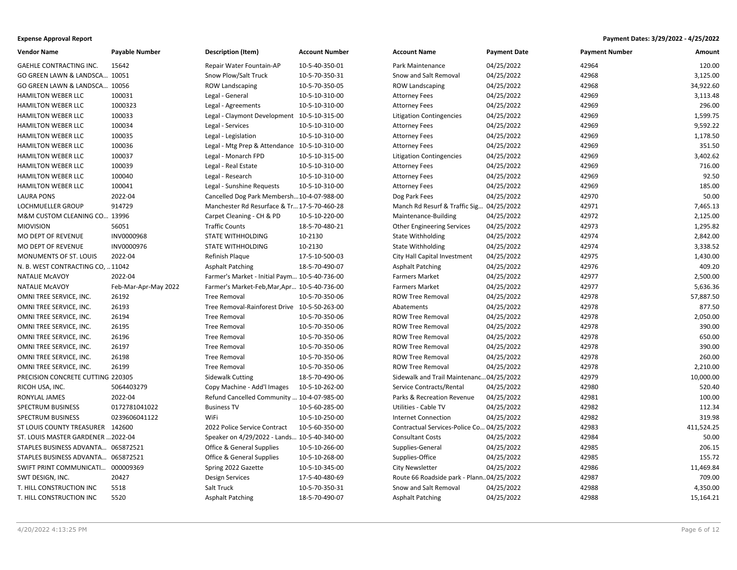| <b>Vendor Name</b>                 | <b>Payable Number</b> | <b>Description (Item)</b>                     | <b>Account Number</b> | <b>Account Name</b>                       | <b>Payment Date</b> | <b>Payment Number</b> | <b>Amount</b> |
|------------------------------------|-----------------------|-----------------------------------------------|-----------------------|-------------------------------------------|---------------------|-----------------------|---------------|
| <b>GAEHLE CONTRACTING INC.</b>     | 15642                 | Repair Water Fountain-AP                      | 10-5-40-350-01        | Park Maintenance                          | 04/25/2022          | 42964                 | 120.00        |
| GO GREEN LAWN & LANDSCA 10051      |                       | Snow Plow/Salt Truck                          | 10-5-70-350-31        | Snow and Salt Removal                     | 04/25/2022          | 42968                 | 3,125.00      |
| GO GREEN LAWN & LANDSCA 10056      |                       | <b>ROW Landscaping</b>                        | 10-5-70-350-05        | <b>ROW Landscaping</b>                    | 04/25/2022          | 42968                 | 34,922.60     |
| <b>HAMILTON WEBER LLC</b>          | 100031                | Legal - General                               | 10-5-10-310-00        | <b>Attorney Fees</b>                      | 04/25/2022          | 42969                 | 3,113.48      |
| <b>HAMILTON WEBER LLC</b>          | 1000323               | Legal - Agreements                            | 10-5-10-310-00        | <b>Attorney Fees</b>                      | 04/25/2022          | 42969                 | 296.00        |
| HAMILTON WEBER LLC                 | 100033                | Legal - Claymont Development 10-5-10-315-00   |                       | <b>Litigation Contingencies</b>           | 04/25/2022          | 42969                 | 1,599.75      |
| <b>HAMILTON WEBER LLC</b>          | 100034                | Legal - Services                              | 10-5-10-310-00        | <b>Attorney Fees</b>                      | 04/25/2022          | 42969                 | 9,592.22      |
| <b>HAMILTON WEBER LLC</b>          | 100035                | Legal - Legislation                           | 10-5-10-310-00        | <b>Attorney Fees</b>                      | 04/25/2022          | 42969                 | 1,178.50      |
| <b>HAMILTON WEBER LLC</b>          | 100036                | Legal - Mtg Prep & Attendance 10-5-10-310-00  |                       | <b>Attorney Fees</b>                      | 04/25/2022          | 42969                 | 351.50        |
| <b>HAMILTON WEBER LLC</b>          | 100037                | Legal - Monarch FPD                           | 10-5-10-315-00        | <b>Litigation Contingencies</b>           | 04/25/2022          | 42969                 | 3,402.62      |
| HAMILTON WEBER LLC                 | 100039                | Legal - Real Estate                           | 10-5-10-310-00        | <b>Attorney Fees</b>                      | 04/25/2022          | 42969                 | 716.00        |
| <b>HAMILTON WEBER LLC</b>          | 100040                | Legal - Research                              | 10-5-10-310-00        | <b>Attorney Fees</b>                      | 04/25/2022          | 42969                 | 92.50         |
| <b>HAMILTON WEBER LLC</b>          | 100041                | Legal - Sunshine Requests                     | 10-5-10-310-00        | <b>Attorney Fees</b>                      | 04/25/2022          | 42969                 | 185.00        |
| <b>LAURA PONS</b>                  | 2022-04               | Cancelled Dog Park Membersh10-4-07-988-00     |                       | Dog Park Fees                             | 04/25/2022          | 42970                 | 50.00         |
| LOCHMUELLER GROUP                  | 914729                | Manchester Rd Resurface & Tr 17-5-70-460-28   |                       | Manch Rd Resurf & Traffic Sig             | 04/25/2022          | 42971                 | 7,465.13      |
| M&M CUSTOM CLEANING CO 13996       |                       | Carpet Cleaning - CH & PD                     | 10-5-10-220-00        | Maintenance-Building                      | 04/25/2022          | 42972                 | 2,125.00      |
| <b>MIOVISION</b>                   | 56051                 | <b>Traffic Counts</b>                         | 18-5-70-480-21        | <b>Other Engineering Services</b>         | 04/25/2022          | 42973                 | 1,295.82      |
| MO DEPT OF REVENUE                 | INV0000968            | <b>STATE WITHHOLDING</b>                      | 10-2130               | State Withholding                         | 04/25/2022          | 42974                 | 2,842.00      |
| MO DEPT OF REVENUE                 | INV0000976            | STATE WITHHOLDING                             | 10-2130               | State Withholding                         | 04/25/2022          | 42974                 | 3,338.52      |
| MONUMENTS OF ST. LOUIS             | 2022-04               | Refinish Plaque                               | 17-5-10-500-03        | City Hall Capital Investment              | 04/25/2022          | 42975                 | 1,430.00      |
| N. B. WEST CONTRACTING CO,  11042  |                       | <b>Asphalt Patching</b>                       | 18-5-70-490-07        | <b>Asphalt Patching</b>                   | 04/25/2022          | 42976                 | 409.20        |
| <b>NATALIE MCAVOY</b>              | 2022-04               | Farmer's Market - Initial Paym 10-5-40-736-00 |                       | <b>Farmers Market</b>                     | 04/25/2022          | 42977                 | 2,500.00      |
| <b>NATALIE MCAVOY</b>              | Feb-Mar-Apr-May 2022  | Farmer's Market-Feb, Mar, Apr 10-5-40-736-00  |                       | <b>Farmers Market</b>                     | 04/25/2022          | 42977                 | 5,636.36      |
| OMNI TREE SERVICE, INC.            | 26192                 | <b>Tree Removal</b>                           | 10-5-70-350-06        | <b>ROW Tree Removal</b>                   | 04/25/2022          | 42978                 | 57,887.50     |
| OMNI TREE SERVICE, INC.            | 26193                 | Tree Removal-Rainforest Drive 10-5-50-263-00  |                       | Abatements                                | 04/25/2022          | 42978                 | 877.50        |
| OMNI TREE SERVICE, INC.            | 26194                 | <b>Tree Removal</b>                           | 10-5-70-350-06        | <b>ROW Tree Removal</b>                   | 04/25/2022          | 42978                 | 2,050.00      |
| OMNI TREE SERVICE, INC.            | 26195                 | <b>Tree Removal</b>                           | 10-5-70-350-06        | <b>ROW Tree Removal</b>                   | 04/25/2022          | 42978                 | 390.00        |
| OMNI TREE SERVICE, INC.            | 26196                 | <b>Tree Removal</b>                           | 10-5-70-350-06        | <b>ROW Tree Removal</b>                   | 04/25/2022          | 42978                 | 650.00        |
| OMNI TREE SERVICE, INC.            | 26197                 | <b>Tree Removal</b>                           | 10-5-70-350-06        | <b>ROW Tree Removal</b>                   | 04/25/2022          | 42978                 | 390.00        |
| OMNI TREE SERVICE, INC.            | 26198                 | <b>Tree Removal</b>                           | 10-5-70-350-06        | <b>ROW Tree Removal</b>                   | 04/25/2022          | 42978                 | 260.00        |
| OMNI TREE SERVICE, INC.            | 26199                 | <b>Tree Removal</b>                           | 10-5-70-350-06        | <b>ROW Tree Removal</b>                   | 04/25/2022          | 42978                 | 2,210.00      |
| PRECISION CONCRETE CUTTING 220305  |                       | <b>Sidewalk Cutting</b>                       | 18-5-70-490-06        | Sidewalk and Trail Maintenanc04/25/2022   |                     | 42979                 | 10,000.00     |
| RICOH USA, INC.                    | 5064403279            | Copy Machine - Add'l Images                   | 10-5-10-262-00        | Service Contracts/Rental                  | 04/25/2022          | 42980                 | 520.40        |
| RONYLAL JAMES                      | 2022-04               | Refund Cancelled Community  10-4-07-985-00    |                       | Parks & Recreation Revenue                | 04/25/2022          | 42981                 | 100.00        |
| SPECTRUM BUSINESS                  | 0172781041022         | <b>Business TV</b>                            | 10-5-60-285-00        | <b>Utilities - Cable TV</b>               | 04/25/2022          | 42982                 | 112.34        |
| SPECTRUM BUSINESS                  | 0239606041122         | WiFi                                          | 10-5-10-250-00        | <b>Internet Connection</b>                | 04/25/2022          | 42982                 | 319.98        |
| ST LOUIS COUNTY TREASURER 142600   |                       | 2022 Police Service Contract                  | 10-5-60-350-00        | Contractual Services-Police Co 04/25/2022 |                     | 42983                 | 411,524.25    |
| ST. LOUIS MASTER GARDENER  2022-04 |                       | Speaker on 4/29/2022 - Lands 10-5-40-340-00   |                       | <b>Consultant Costs</b>                   | 04/25/2022          | 42984                 | 50.00         |
| STAPLES BUSINESS ADVANTA 065872521 |                       | Office & General Supplies                     | 10-5-10-266-00        | Supplies-General                          | 04/25/2022          | 42985                 | 206.15        |
| STAPLES BUSINESS ADVANTA 065872521 |                       | <b>Office &amp; General Supplies</b>          | 10-5-10-268-00        | Supplies-Office                           | 04/25/2022          | 42985                 | 155.72        |
| SWIFT PRINT COMMUNICATI 000009369  |                       | Spring 2022 Gazette                           | 10-5-10-345-00        | <b>City Newsletter</b>                    | 04/25/2022          | 42986                 | 11,469.84     |
| SWT DESIGN, INC.                   | 20427                 | <b>Design Services</b>                        | 17-5-40-480-69        | Route 66 Roadside park - Plann04/25/2022  |                     | 42987                 | 709.00        |
| T. HILL CONSTRUCTION INC           | 5518                  | Salt Truck                                    | 10-5-70-350-31        | Snow and Salt Removal                     | 04/25/2022          | 42988                 | 4,350.00      |
| T. HILL CONSTRUCTION INC           | 5520                  | <b>Asphalt Patching</b>                       | 18-5-70-490-07        | <b>Asphalt Patching</b>                   | 04/25/2022          | 42988                 | 15,164.21     |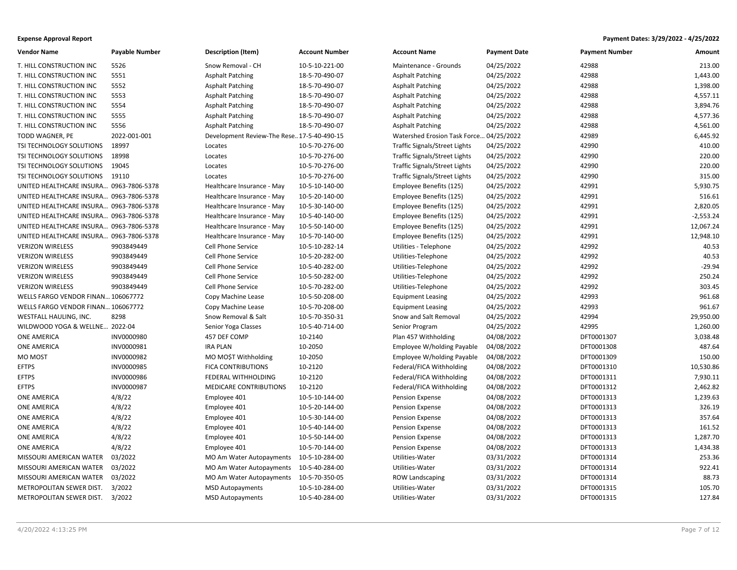| <b>Vendor Name</b>                      | <b>Payable Number</b> | Description (Item)                         | <b>Account Number</b> | <b>Account Name</b>           | <b>Payment Date</b> | <b>Payment Number</b> | Amount      |
|-----------------------------------------|-----------------------|--------------------------------------------|-----------------------|-------------------------------|---------------------|-----------------------|-------------|
| T. HILL CONSTRUCTION INC                | 5526                  | Snow Removal - CH                          | 10-5-10-221-00        | Maintenance - Grounds         | 04/25/2022          | 42988                 | 213.00      |
| T. HILL CONSTRUCTION INC                | 5551                  | <b>Asphalt Patching</b>                    | 18-5-70-490-07        | <b>Asphalt Patching</b>       | 04/25/2022          | 42988                 | 1,443.00    |
| T. HILL CONSTRUCTION INC                | 5552                  | <b>Asphalt Patching</b>                    | 18-5-70-490-07        | <b>Asphalt Patching</b>       | 04/25/2022          | 42988                 | 1,398.00    |
| T. HILL CONSTRUCTION INC                | 5553                  | <b>Asphalt Patching</b>                    | 18-5-70-490-07        | <b>Asphalt Patching</b>       | 04/25/2022          | 42988                 | 4,557.11    |
| T. HILL CONSTRUCTION INC                | 5554                  | <b>Asphalt Patching</b>                    | 18-5-70-490-07        | <b>Asphalt Patching</b>       | 04/25/2022          | 42988                 | 3,894.76    |
| T. HILL CONSTRUCTION INC                | 5555                  | <b>Asphalt Patching</b>                    | 18-5-70-490-07        | Asphalt Patching              | 04/25/2022          | 42988                 | 4,577.36    |
| T. HILL CONSTRUCTION INC                | 5556                  | <b>Asphalt Patching</b>                    | 18-5-70-490-07        | <b>Asphalt Patching</b>       | 04/25/2022          | 42988                 | 4,561.00    |
| TODD WAGNER, PE                         | 2022-001-001          | Development Review-The Rese 17-5-40-490-15 |                       | Watershed Erosion Task Force. | .04/25/2022         | 42989                 | 6,445.92    |
| TSI TECHNOLOGY SOLUTIONS                | 18997                 | Locates                                    | 10-5-70-276-00        | Traffic Signals/Street Lights | 04/25/2022          | 42990                 | 410.00      |
| TSI TECHNOLOGY SOLUTIONS                | 18998                 | Locates                                    | 10-5-70-276-00        | Traffic Signals/Street Lights | 04/25/2022          | 42990                 | 220.00      |
| TSI TECHNOLOGY SOLUTIONS                | 19045                 | Locates                                    | 10-5-70-276-00        | Traffic Signals/Street Lights | 04/25/2022          | 42990                 | 220.00      |
| TSI TECHNOLOGY SOLUTIONS                | 19110                 | Locates                                    | 10-5-70-276-00        | Traffic Signals/Street Lights | 04/25/2022          | 42990                 | 315.00      |
| UNITED HEALTHCARE INSURA 0963-7806-5378 |                       | Healthcare Insurance - May                 | 10-5-10-140-00        | Employee Benefits (125)       | 04/25/2022          | 42991                 | 5,930.75    |
| UNITED HEALTHCARE INSURA 0963-7806-5378 |                       | Healthcare Insurance - May                 | 10-5-20-140-00        | Employee Benefits (125)       | 04/25/2022          | 42991                 | 516.61      |
| UNITED HEALTHCARE INSURA 0963-7806-5378 |                       | Healthcare Insurance - May                 | 10-5-30-140-00        | Employee Benefits (125)       | 04/25/2022          | 42991                 | 2,820.05    |
| UNITED HEALTHCARE INSURA 0963-7806-5378 |                       | Healthcare Insurance - May                 | 10-5-40-140-00        | Employee Benefits (125)       | 04/25/2022          | 42991                 | $-2,553.24$ |
| UNITED HEALTHCARE INSURA 0963-7806-5378 |                       | Healthcare Insurance - May                 | 10-5-50-140-00        | Employee Benefits (125)       | 04/25/2022          | 42991                 | 12,067.24   |
| UNITED HEALTHCARE INSURA 0963-7806-5378 |                       | Healthcare Insurance - May                 | 10-5-70-140-00        | Employee Benefits (125)       | 04/25/2022          | 42991                 | 12,948.10   |
| <b>VERIZON WIRELESS</b>                 | 9903849449            | <b>Cell Phone Service</b>                  | 10-5-10-282-14        | Utilities - Telephone         | 04/25/2022          | 42992                 | 40.53       |
| <b>VERIZON WIRELESS</b>                 | 9903849449            | <b>Cell Phone Service</b>                  | 10-5-20-282-00        | Utilities-Telephone           | 04/25/2022          | 42992                 | 40.53       |
| <b>VERIZON WIRELESS</b>                 | 9903849449            | Cell Phone Service                         | 10-5-40-282-00        | Utilities-Telephone           | 04/25/2022          | 42992                 | $-29.94$    |
| <b>VERIZON WIRELESS</b>                 | 9903849449            | Cell Phone Service                         | 10-5-50-282-00        | Utilities-Telephone           | 04/25/2022          | 42992                 | 250.24      |
| <b>VERIZON WIRELESS</b>                 | 9903849449            | <b>Cell Phone Service</b>                  | 10-5-70-282-00        | Utilities-Telephone           | 04/25/2022          | 42992                 | 303.45      |
| WELLS FARGO VENDOR FINAN 106067772      |                       | Copy Machine Lease                         | 10-5-50-208-00        | <b>Equipment Leasing</b>      | 04/25/2022          | 42993                 | 961.68      |
| WELLS FARGO VENDOR FINAN 106067772      |                       | Copy Machine Lease                         | 10-5-70-208-00        | <b>Equipment Leasing</b>      | 04/25/2022          | 42993                 | 961.67      |
| WESTFALL HAULING, INC.                  | 8298                  | Snow Removal & Salt                        | 10-5-70-350-31        | Snow and Salt Removal         | 04/25/2022          | 42994                 | 29,950.00   |
| WILDWOOD YOGA & WELLNE 2022-04          |                       | Senior Yoga Classes                        | 10-5-40-714-00        | Senior Program                | 04/25/2022          | 42995                 | 1,260.00    |
| <b>ONE AMERICA</b>                      | INV0000980            | 457 DEF COMP                               | 10-2140               | Plan 457 Withholding          | 04/08/2022          | DFT0001307            | 3,038.48    |
| <b>ONE AMERICA</b>                      | INV0000981            | <b>IRA PLAN</b>                            | 10-2050               | Employee W/holding Payable    | 04/08/2022          | DFT0001308            | 487.64      |
| MO MOST                                 | INV0000982            | MO MO\$T Withholding                       | 10-2050               | Employee W/holding Payable    | 04/08/2022          | DFT0001309            | 150.00      |
| <b>EFTPS</b>                            | INV0000985            | FICA CONTRIBUTIONS                         | 10-2120               | Federal/FICA Withholding      | 04/08/2022          | DFT0001310            | 10,530.86   |
| <b>EFTPS</b>                            | INV0000986            | FEDERAL WITHHOLDING                        | 10-2120               | Federal/FICA Withholding      | 04/08/2022          | DFT0001311            | 7,930.11    |
| <b>EFTPS</b>                            | INV0000987            | <b>MEDICARE CONTRIBUTIONS</b>              | 10-2120               | Federal/FICA Withholding      | 04/08/2022          | DFT0001312            | 2,462.82    |
| <b>ONE AMERICA</b>                      | 4/8/22                | Employee 401                               | 10-5-10-144-00        | Pension Expense               | 04/08/2022          | DFT0001313            | 1,239.63    |
| ONE AMERICA                             | 4/8/22                | Employee 401                               | 10-5-20-144-00        | Pension Expense               | 04/08/2022          | DFT0001313            | 326.19      |
| <b>ONE AMERICA</b>                      | 4/8/22                | Employee 401                               | 10-5-30-144-00        | Pension Expense               | 04/08/2022          | DFT0001313            | 357.64      |
| <b>ONE AMERICA</b>                      | 4/8/22                | Employee 401                               | 10-5-40-144-00        | Pension Expense               | 04/08/2022          | DFT0001313            | 161.52      |
| <b>ONE AMERICA</b>                      | 4/8/22                | Employee 401                               | 10-5-50-144-00        | Pension Expense               | 04/08/2022          | DFT0001313            | 1,287.70    |
| <b>ONE AMERICA</b>                      | 4/8/22                | Employee 401                               | 10-5-70-144-00        | Pension Expense               | 04/08/2022          | DFT0001313            | 1,434.38    |
| MISSOURI AMERICAN WATER                 | 03/2022               | MO Am Water Autopayments                   | 10-5-10-284-00        | Utilities-Water               | 03/31/2022          | DFT0001314            | 253.36      |
| MISSOURI AMERICAN WATER                 | 03/2022               | MO Am Water Autopayments                   | 10-5-40-284-00        | Utilities-Water               | 03/31/2022          | DFT0001314            | 922.41      |
| MISSOURI AMERICAN WATER                 | 03/2022               | MO Am Water Autopayments                   | 10-5-70-350-05        | <b>ROW Landscaping</b>        | 03/31/2022          | DFT0001314            | 88.73       |
| METROPOLITAN SEWER DIST.                | 3/2022                | <b>MSD Autopayments</b>                    | 10-5-10-284-00        | Utilities-Water               | 03/31/2022          | DFT0001315            | 105.70      |
| METROPOLITAN SEWER DIST. 3/2022         |                       | <b>MSD Autopayments</b>                    | 10-5-40-284-00        | Utilities-Water               | 03/31/2022          | DFT0001315            | 127.84      |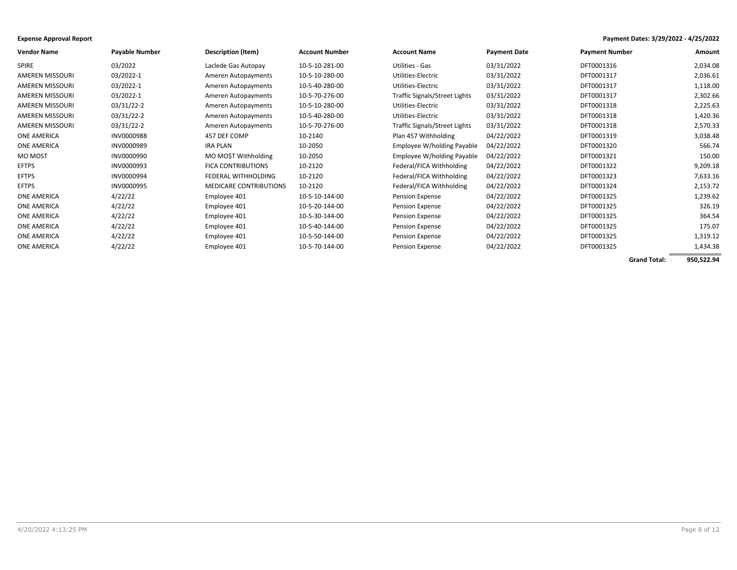| <b>Vendor Name</b>     | <b>Payable Number</b> | <b>Description (Item)</b>     | <b>Account Number</b> | <b>Account Name</b>           | <b>Payment Date</b> | <b>Payment Number</b> | Amount   |
|------------------------|-----------------------|-------------------------------|-----------------------|-------------------------------|---------------------|-----------------------|----------|
| <b>SPIRE</b>           | 03/2022               | Laclede Gas Autopay           | 10-5-10-281-00        | Utilities - Gas               | 03/31/2022          | DFT0001316            | 2,034.08 |
| <b>AMEREN MISSOURI</b> | 03/2022-1             | Ameren Autopayments           | 10-5-10-280-00        | Utilities-Electric            | 03/31/2022          | DFT0001317            | 2,036.61 |
| <b>AMEREN MISSOURI</b> | 03/2022-1             | Ameren Autopayments           | 10-5-40-280-00        | Utilities-Electric            | 03/31/2022          | DFT0001317            | 1,118.00 |
| AMEREN MISSOURI        | 03/2022-1             | Ameren Autopayments           | 10-5-70-276-00        | Traffic Signals/Street Lights | 03/31/2022          | DFT0001317            | 2,302.66 |
| AMEREN MISSOURI        | 03/31/22-2            | Ameren Autopayments           | 10-5-10-280-00        | Utilities-Electric            | 03/31/2022          | DFT0001318            | 2,225.63 |
| <b>AMEREN MISSOURI</b> | 03/31/22-2            | Ameren Autopayments           | 10-5-40-280-00        | Utilities-Electric            | 03/31/2022          | DFT0001318            | 1,420.36 |
| <b>AMEREN MISSOURI</b> | 03/31/22-2            | Ameren Autopayments           | 10-5-70-276-00        | Traffic Signals/Street Lights | 03/31/2022          | DFT0001318            | 2,570.33 |
| <b>ONE AMERICA</b>     | INV0000988            | 457 DEF COMP                  | 10-2140               | Plan 457 Withholding          | 04/22/2022          | DFT0001319            | 3,038.48 |
| <b>ONE AMERICA</b>     | INV0000989            | IRA PLAN                      | 10-2050               | Employee W/holding Payable    | 04/22/2022          | DFT0001320            | 566.74   |
| <b>MO MOST</b>         | INV0000990            | MO MOST Withholding           | 10-2050               | Employee W/holding Payable    | 04/22/2022          | DFT0001321            | 150.00   |
| <b>EFTPS</b>           | INV0000993            | <b>FICA CONTRIBUTIONS</b>     | 10-2120               | Federal/FICA Withholding      | 04/22/2022          | DFT0001322            | 9,209.18 |
| <b>EFTPS</b>           | INV0000994            | FEDERAL WITHHOLDING           | 10-2120               | Federal/FICA Withholding      | 04/22/2022          | DFT0001323            | 7,633.16 |
| <b>EFTPS</b>           | INV0000995            | <b>MEDICARE CONTRIBUTIONS</b> | 10-2120               | Federal/FICA Withholding      | 04/22/2022          | DFT0001324            | 2,153.72 |
| <b>ONE AMERICA</b>     | 4/22/22               | Employee 401                  | 10-5-10-144-00        | Pension Expense               | 04/22/2022          | DFT0001325            | 1,239.62 |
| <b>ONE AMERICA</b>     | 4/22/22               | Employee 401                  | 10-5-20-144-00        | <b>Pension Expense</b>        | 04/22/2022          | DFT0001325            | 326.19   |
| <b>ONE AMERICA</b>     | 4/22/22               | Employee 401                  | 10-5-30-144-00        | Pension Expense               | 04/22/2022          | DFT0001325            | 364.54   |
| <b>ONE AMERICA</b>     | 4/22/22               | Employee 401                  | 10-5-40-144-00        | Pension Expense               | 04/22/2022          | DFT0001325            | 175.07   |
| ONE AMERICA            | 4/22/22               | Employee 401                  | 10-5-50-144-00        | <b>Pension Expense</b>        | 04/22/2022          | DFT0001325            | 1,319.12 |
| <b>ONE AMERICA</b>     | 4/22/22               | Employee 401                  | 10-5-70-144-00        | <b>Pension Expense</b>        | 04/22/2022          | DFT0001325            | 1,434.38 |

**Grand Total: 950,522.94**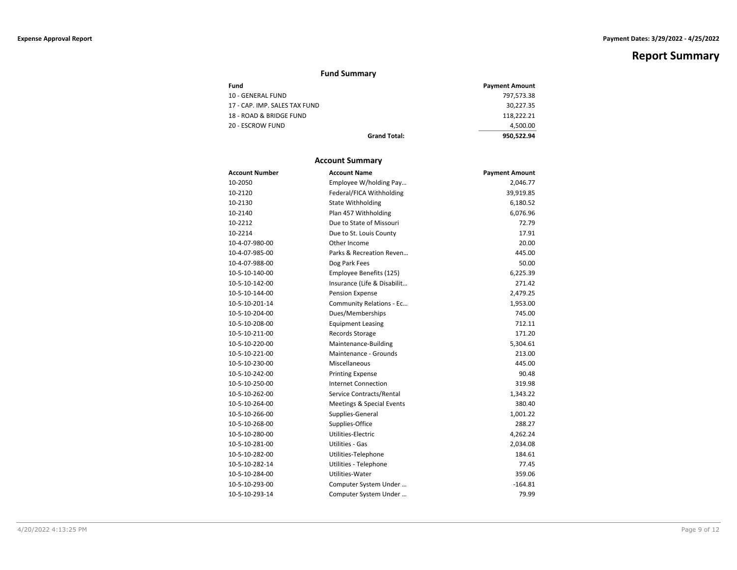# **Fund Summary**

| Fund                          | <b>Payment Amount</b> |
|-------------------------------|-----------------------|
| 10 - GENERAL FUND             | 797,573.38            |
| 17 - CAP. IMP. SALES TAX FUND | 30,227.35             |
| 18 - ROAD & BRIDGE FUND       | 118.222.21            |
| 20 - ESCROW FUND              | 4.500.00              |
| <b>Grand Total:</b>           | 950.522.94            |

# **Account Summary**

| <b>Account Number</b> | <b>Account Name</b>         | <b>Payment Amount</b> |
|-----------------------|-----------------------------|-----------------------|
| 10-2050               | Employee W/holding Pay      | 2,046.77              |
| 10-2120               | Federal/FICA Withholding    | 39,919.85             |
| 10-2130               | <b>State Withholding</b>    | 6,180.52              |
| 10-2140               | Plan 457 Withholding        | 6,076.96              |
| 10-2212               | Due to State of Missouri    | 72.79                 |
| 10-2214               | Due to St. Louis County     | 17.91                 |
| 10-4-07-980-00        | Other Income                | 20.00                 |
| 10-4-07-985-00        | Parks & Recreation Reven    | 445.00                |
| 10-4-07-988-00        | Dog Park Fees               | 50.00                 |
| 10-5-10-140-00        | Employee Benefits (125)     | 6,225.39              |
| 10-5-10-142-00        | Insurance (Life & Disabilit | 271.42                |
| 10-5-10-144-00        | Pension Expense             | 2,479.25              |
| 10-5-10-201-14        | Community Relations - Ec    | 1,953.00              |
| 10-5-10-204-00        | Dues/Memberships            | 745.00                |
| 10-5-10-208-00        | <b>Equipment Leasing</b>    | 712.11                |
| 10-5-10-211-00        | Records Storage             | 171.20                |
| 10-5-10-220-00        | Maintenance-Building        | 5,304.61              |
| 10-5-10-221-00        | Maintenance - Grounds       | 213.00                |
| 10-5-10-230-00        | Miscellaneous               | 445.00                |
| 10-5-10-242-00        | <b>Printing Expense</b>     | 90.48                 |
| 10-5-10-250-00        | <b>Internet Connection</b>  | 319.98                |
| 10-5-10-262-00        | Service Contracts/Rental    | 1,343.22              |
| 10-5-10-264-00        | Meetings & Special Events   | 380.40                |
| 10-5-10-266-00        | Supplies-General            | 1,001.22              |
| 10-5-10-268-00        | Supplies-Office             | 288.27                |
| 10-5-10-280-00        | Utilities-Electric          | 4,262.24              |
| 10-5-10-281-00        | Utilities - Gas             | 2,034.08              |
| 10-5-10-282-00        | Utilities-Telephone         | 184.61                |
| 10-5-10-282-14        | Utilities - Telephone       | 77.45                 |
| 10-5-10-284-00        | Utilities-Water             | 359.06                |
| 10-5-10-293-00        | Computer System Under       | $-164.81$             |
| 10-5-10-293-14        | Computer System Under       | 79.99                 |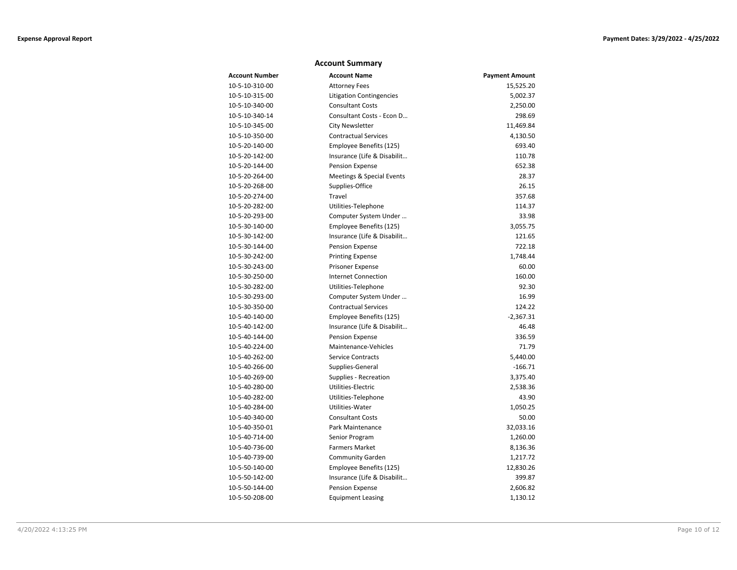### **Account Summary**

| <b>Account Number</b> | <b>Account Name</b>             | <b>Payment Amount</b> |
|-----------------------|---------------------------------|-----------------------|
| 10-5-10-310-00        | <b>Attorney Fees</b>            | 15,525.20             |
| 10-5-10-315-00        | <b>Litigation Contingencies</b> | 5,002.37              |
| 10-5-10-340-00        | <b>Consultant Costs</b>         | 2,250.00              |
| 10-5-10-340-14        | Consultant Costs - Econ D       | 298.69                |
| 10-5-10-345-00        | <b>City Newsletter</b>          | 11,469.84             |
| 10-5-10-350-00        | <b>Contractual Services</b>     | 4,130.50              |
| 10-5-20-140-00        | Employee Benefits (125)         | 693.40                |
| 10-5-20-142-00        | Insurance (Life & Disabilit     | 110.78                |
| 10-5-20-144-00        | Pension Expense                 | 652.38                |
| 10-5-20-264-00        | Meetings & Special Events       | 28.37                 |
| 10-5-20-268-00        | Supplies-Office                 | 26.15                 |
| 10-5-20-274-00        | Travel                          | 357.68                |
| 10-5-20-282-00        | Utilities-Telephone             | 114.37                |
| 10-5-20-293-00        | Computer System Under           | 33.98                 |
| 10-5-30-140-00        | Employee Benefits (125)         | 3,055.75              |
| 10-5-30-142-00        | Insurance (Life & Disabilit     | 121.65                |
| 10-5-30-144-00        | Pension Expense                 | 722.18                |
| 10-5-30-242-00        | <b>Printing Expense</b>         | 1,748.44              |
| 10-5-30-243-00        | Prisoner Expense                | 60.00                 |
| 10-5-30-250-00        | Internet Connection             | 160.00                |
| 10-5-30-282-00        | Utilities-Telephone             | 92.30                 |
| 10-5-30-293-00        | Computer System Under           | 16.99                 |
| 10-5-30-350-00        | <b>Contractual Services</b>     | 124.22                |
| 10-5-40-140-00        | Employee Benefits (125)         | $-2,367.31$           |
| 10-5-40-142-00        | Insurance (Life & Disabilit     | 46.48                 |
| 10-5-40-144-00        | Pension Expense                 | 336.59                |
| 10-5-40-224-00        | Maintenance-Vehicles            | 71.79                 |
| 10-5-40-262-00        | <b>Service Contracts</b>        | 5,440.00              |
| 10-5-40-266-00        | Supplies-General                | $-166.71$             |
| 10-5-40-269-00        | Supplies - Recreation           | 3,375.40              |
| 10-5-40-280-00        | Utilities-Electric              | 2,538.36              |
| 10-5-40-282-00        | Utilities-Telephone             | 43.90                 |
| 10-5-40-284-00        | Utilities-Water                 | 1,050.25              |
| 10-5-40-340-00        | <b>Consultant Costs</b>         | 50.00                 |
| 10-5-40-350-01        | Park Maintenance                | 32,033.16             |
| 10-5-40-714-00        | Senior Program                  | 1,260.00              |
| 10-5-40-736-00        | <b>Farmers Market</b>           | 8,136.36              |
| 10-5-40-739-00        | <b>Community Garden</b>         | 1,217.72              |
| 10-5-50-140-00        | Employee Benefits (125)         | 12,830.26             |
| 10-5-50-142-00        | Insurance (Life & Disabilit     | 399.87                |
| 10-5-50-144-00        | Pension Expense                 | 2,606.82              |
| 10-5-50-208-00        | <b>Equipment Leasing</b>        | 1,130.12              |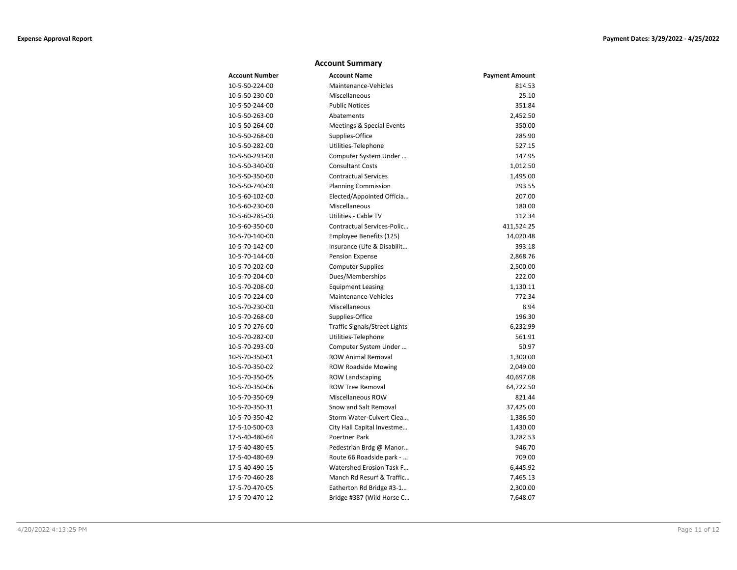# **Account Summary**

| <b>Account Number</b> | <b>Account Name</b>           | <b>Payment Amount</b> |
|-----------------------|-------------------------------|-----------------------|
| 10-5-50-224-00        | Maintenance-Vehicles          | 814.53                |
| 10-5-50-230-00        | Miscellaneous                 | 25.10                 |
| 10-5-50-244-00        | <b>Public Notices</b>         | 351.84                |
| 10-5-50-263-00        | Abatements                    | 2,452.50              |
| 10-5-50-264-00        | Meetings & Special Events     | 350.00                |
| 10-5-50-268-00        | Supplies-Office               | 285.90                |
| 10-5-50-282-00        | Utilities-Telephone           | 527.15                |
| 10-5-50-293-00        | Computer System Under         | 147.95                |
| 10-5-50-340-00        | <b>Consultant Costs</b>       | 1,012.50              |
| 10-5-50-350-00        | <b>Contractual Services</b>   | 1,495.00              |
| 10-5-50-740-00        | <b>Planning Commission</b>    | 293.55                |
| 10-5-60-102-00        | Elected/Appointed Officia     | 207.00                |
| 10-5-60-230-00        | Miscellaneous                 | 180.00                |
| 10-5-60-285-00        | Utilities - Cable TV          | 112.34                |
| 10-5-60-350-00        | Contractual Services-Polic    | 411,524.25            |
| 10-5-70-140-00        | Employee Benefits (125)       | 14,020.48             |
| 10-5-70-142-00        | Insurance (Life & Disabilit   | 393.18                |
| 10-5-70-144-00        | <b>Pension Expense</b>        | 2,868.76              |
| 10-5-70-202-00        | <b>Computer Supplies</b>      | 2,500.00              |
| 10-5-70-204-00        | Dues/Memberships              | 222.00                |
| 10-5-70-208-00        | <b>Equipment Leasing</b>      | 1,130.11              |
| 10-5-70-224-00        | Maintenance-Vehicles          | 772.34                |
| 10-5-70-230-00        | Miscellaneous                 | 8.94                  |
| 10-5-70-268-00        | Supplies-Office               | 196.30                |
| 10-5-70-276-00        | Traffic Signals/Street Lights | 6,232.99              |
| 10-5-70-282-00        | Utilities-Telephone           | 561.91                |
| 10-5-70-293-00        | Computer System Under         | 50.97                 |
| 10-5-70-350-01        | <b>ROW Animal Removal</b>     | 1,300.00              |
| 10-5-70-350-02        | <b>ROW Roadside Mowing</b>    | 2,049.00              |
| 10-5-70-350-05        | <b>ROW Landscaping</b>        | 40,697.08             |
| 10-5-70-350-06        | <b>ROW Tree Removal</b>       | 64,722.50             |
| 10-5-70-350-09        | Miscellaneous ROW             | 821.44                |
| 10-5-70-350-31        | Snow and Salt Removal         | 37,425.00             |
| 10-5-70-350-42        | Storm Water-Culvert Clea      | 1,386.50              |
| 17-5-10-500-03        | City Hall Capital Investme    | 1,430.00              |
| 17-5-40-480-64        | Poertner Park                 | 3,282.53              |
| 17-5-40-480-65        | Pedestrian Brdg @ Manor       | 946.70                |
| 17-5-40-480-69        | Route 66 Roadside park -      | 709.00                |
| 17-5-40-490-15        | Watershed Erosion Task F      | 6,445.92              |
| 17-5-70-460-28        | Manch Rd Resurf & Traffic     | 7,465.13              |
| 17-5-70-470-05        | Eatherton Rd Bridge #3-1      | 2,300.00              |
| 17-5-70-470-12        | Bridge #387 (Wild Horse C     | 7,648.07              |